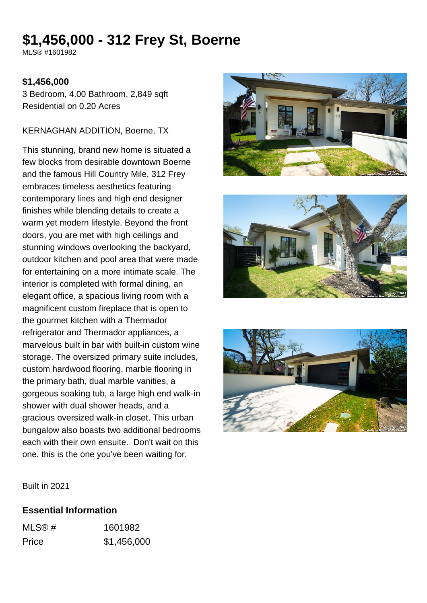# **\$1,456,000 - 312 Frey St, Boerne**

MLS® #1601982

#### **\$1,456,000**

3 Bedroom, 4.00 Bathroom, 2,849 sqft Residential on 0.20 Acres

#### KERNAGHAN ADDITION, Boerne, TX

This stunning, brand new home is situated a few blocks from desirable downtown Boerne and the famous Hill Country Mile, 312 Frey embraces timeless aesthetics featuring contemporary lines and high end designer finishes while blending details to create a warm yet modern lifestyle. Beyond the front doors, you are met with high ceilings and stunning windows overlooking the backyard, outdoor kitchen and pool area that were made for entertaining on a more intimate scale. The interior is completed with formal dining, an elegant office, a spacious living room with a magnificent custom fireplace that is open to the gourmet kitchen with a Thermador refrigerator and Thermador appliances, a marvelous built in bar with built-in custom wine storage. The oversized primary suite includes, custom hardwood flooring, marble flooring in the primary bath, dual marble vanities, a gorgeous soaking tub, a large high end walk-in shower with dual shower heads, and a gracious oversized walk-in closet. This urban bungalow also boasts two additional bedrooms each with their own ensuite. Don't wait on this one, this is the one you've been waiting for.







Built in 2021

#### **Essential Information**

| MLS@# | 1601982     |
|-------|-------------|
| Price | \$1,456,000 |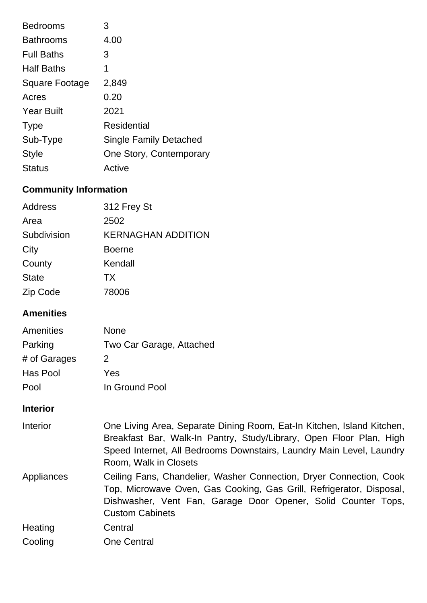| <b>Bedrooms</b>   | 3                             |
|-------------------|-------------------------------|
| <b>Bathrooms</b>  | 4.00                          |
| <b>Full Baths</b> | 3                             |
| <b>Half Baths</b> | 1                             |
| Square Footage    | 2,849                         |
| Acres             | 0.20                          |
| <b>Year Built</b> | 2021                          |
| <b>Type</b>       | Residential                   |
| Sub-Type          | <b>Single Family Detached</b> |
| <b>Style</b>      | One Story, Contemporary       |
| <b>Status</b>     | Active                        |

# **Community Information**

| Address      | 312 Frey St               |
|--------------|---------------------------|
| Area         | 2502                      |
| Subdivision  | <b>KERNAGHAN ADDITION</b> |
| City         | <b>Boerne</b>             |
| County       | Kendall                   |
| <b>State</b> | TX                        |
| Zip Code     | 78006                     |

# **Amenities**

| Amenities    | None                     |
|--------------|--------------------------|
| Parking      | Two Car Garage, Attached |
| # of Garages | 2                        |
| Has Pool     | Yes                      |
| Pool         | In Ground Pool           |

## **Interior**

| Interior   | One Living Area, Separate Dining Room, Eat-In Kitchen, Island Kitchen,<br>Breakfast Bar, Walk-In Pantry, Study/Library, Open Floor Plan, High<br>Speed Internet, All Bedrooms Downstairs, Laundry Main Level, Laundry<br>Room, Walk in Closets |
|------------|------------------------------------------------------------------------------------------------------------------------------------------------------------------------------------------------------------------------------------------------|
| Appliances | Ceiling Fans, Chandelier, Washer Connection, Dryer Connection, Cook<br>Top, Microwave Oven, Gas Cooking, Gas Grill, Refrigerator, Disposal,<br>Dishwasher, Vent Fan, Garage Door Opener, Solid Counter Tops,<br><b>Custom Cabinets</b>         |
| Heating    | Central                                                                                                                                                                                                                                        |
| Cooling    | <b>One Central</b>                                                                                                                                                                                                                             |